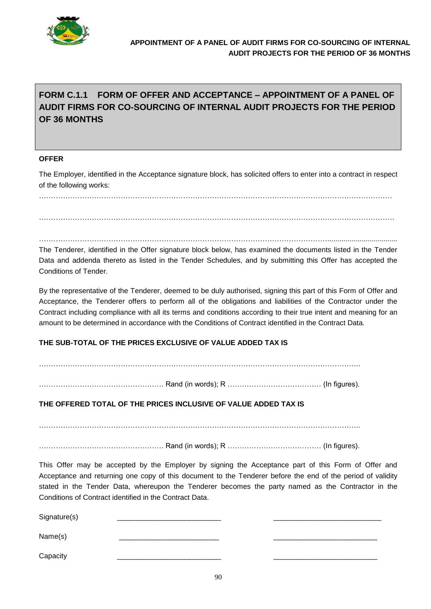

# **FORM C.1.1 FORM OF OFFER AND ACCEPTANCE – APPOINTMENT OF A PANEL OF AUDIT FIRMS FOR CO-SOURCING OF INTERNAL AUDIT PROJECTS FOR THE PERIOD OF 36 MONTHS**

### **OFFER**

The Employer, identified in the Acceptance signature block, has solicited offers to enter into a contract in respect of the following works:

…………………………………………………………………………………………………………………………………

…………………………………………………………………………………………………………................................... The Tenderer, identified in the Offer signature block below, has examined the documents listed in the Tender Data and addenda thereto as listed in the Tender Schedules, and by submitting this Offer has accepted the Conditions of Tender.

By the representative of the Tenderer, deemed to be duly authorised, signing this part of this Form of Offer and Acceptance, the Tenderer offers to perform all of the obligations and liabilities of the Contractor under the Contract including compliance with all its terms and conditions according to their true intent and meaning for an amount to be determined in accordance with the Conditions of Contract identified in the Contract Data.

### **THE SUB-TOTAL OF THE PRICES EXCLUSIVE OF VALUE ADDED TAX IS**

. The contract of the contract of the contract of the contract of the contract of the contract of the contract of the contract of the contract of the contract of the contract of the contract of the contract of the contrac

……………………………………………. Rand (in words); R ………………………………… (In figures).

**THE OFFERED TOTAL OF THE PRICES INCLUSIVE OF VALUE ADDED TAX IS**

……………………………………………………………………………………………………………………..

……………………………………………. Rand (in words); R ………………………………… (In figures).

This Offer may be accepted by the Employer by signing the Acceptance part of this Form of Offer and Acceptance and returning one copy of this document to the Tenderer before the end of the period of validity stated in the Tender Data, whereupon the Tenderer becomes the party named as the Contractor in the Conditions of Contract identified in the Contract Data.

Signature(s)

Name(s) \_\_\_\_\_\_\_\_\_\_\_\_\_\_\_\_\_\_\_\_\_\_\_\_\_ \_\_\_\_\_\_\_\_\_\_\_\_\_\_\_\_\_\_\_\_\_\_\_\_\_\_

Capacity \_\_\_\_\_\_\_\_\_\_\_\_\_\_\_\_\_\_\_\_\_\_\_\_\_\_ \_\_\_\_\_\_\_\_\_\_\_\_\_\_\_\_\_\_\_\_\_\_\_\_\_\_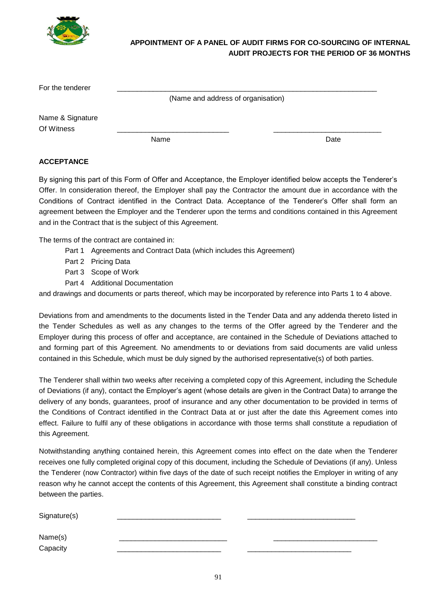

# **APPOINTMENT OF A PANEL OF AUDIT FIRMS FOR CO-SOURCING OF INTERNAL AUDIT PROJECTS FOR THE PERIOD OF 36 MONTHS**

| For the tenderer |                                    |      |
|------------------|------------------------------------|------|
|                  | (Name and address of organisation) |      |
| Name & Signature |                                    |      |
| Of Witness       |                                    |      |
|                  | Name                               | Date |

## **ACCEPTANCE**

By signing this part of this Form of Offer and Acceptance, the Employer identified below accepts the Tenderer's Offer. In consideration thereof, the Employer shall pay the Contractor the amount due in accordance with the Conditions of Contract identified in the Contract Data. Acceptance of the Tenderer's Offer shall form an agreement between the Employer and the Tenderer upon the terms and conditions contained in this Agreement and in the Contract that is the subject of this Agreement.

The terms of the contract are contained in:

- Part 1 Agreements and Contract Data (which includes this Agreement)
- Part 2 Pricing Data
- Part 3 Scope of Work
- Part 4 Additional Documentation

and drawings and documents or parts thereof, which may be incorporated by reference into Parts 1 to 4 above.

Deviations from and amendments to the documents listed in the Tender Data and any addenda thereto listed in the Tender Schedules as well as any changes to the terms of the Offer agreed by the Tenderer and the Employer during this process of offer and acceptance, are contained in the Schedule of Deviations attached to and forming part of this Agreement. No amendments to or deviations from said documents are valid unless contained in this Schedule, which must be duly signed by the authorised representative(s) of both parties.

The Tenderer shall within two weeks after receiving a completed copy of this Agreement, including the Schedule of Deviations (if any), contact the Employer's agent (whose details are given in the Contract Data) to arrange the delivery of any bonds, guarantees, proof of insurance and any other documentation to be provided in terms of the Conditions of Contract identified in the Contract Data at or just after the date this Agreement comes into effect. Failure to fulfil any of these obligations in accordance with those terms shall constitute a repudiation of this Agreement.

Notwithstanding anything contained herein, this Agreement comes into effect on the date when the Tenderer receives one fully completed original copy of this document, including the Schedule of Deviations (if any). Unless the Tenderer (now Contractor) within five days of the date of such receipt notifies the Employer in writing of any reason why he cannot accept the contents of this Agreement, this Agreement shall constitute a binding contract between the parties.

Signature(s) Name(s) \_\_\_\_\_\_\_\_\_\_\_\_\_\_\_\_\_\_\_\_\_\_\_\_\_\_\_ \_\_\_\_\_\_\_\_\_\_\_\_\_\_\_\_\_\_\_\_\_\_\_\_\_\_ Capacity \_\_\_\_\_\_\_\_\_\_\_\_\_\_\_\_\_\_\_\_\_\_\_\_\_\_ \_\_\_\_\_\_\_\_\_\_\_\_\_\_\_\_\_\_\_\_\_\_\_\_\_\_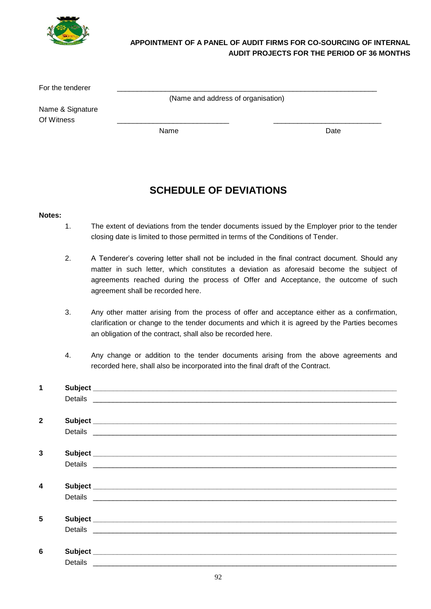

# **APPOINTMENT OF A PANEL OF AUDIT FIRMS FOR CO-SOURCING OF INTERNAL AUDIT PROJECTS FOR THE PERIOD OF 36 MONTHS**

For the tenderer

(Name and address of organisation)

Name & Signature Of Witness \_\_\_\_\_\_\_\_\_\_\_\_\_\_\_\_\_\_\_\_\_\_\_\_\_\_\_\_ \_\_\_\_\_\_\_\_\_\_\_\_\_\_\_\_\_\_\_\_\_\_\_\_\_\_\_

Name Date Date Date

# **SCHEDULE OF DEVIATIONS**

#### **Notes:**

- 1. The extent of deviations from the tender documents issued by the Employer prior to the tender closing date is limited to those permitted in terms of the Conditions of Tender.
- 2. A Tenderer's covering letter shall not be included in the final contract document. Should any matter in such letter, which constitutes a deviation as aforesaid become the subject of agreements reached during the process of Offer and Acceptance, the outcome of such agreement shall be recorded here.
- 3. Any other matter arising from the process of offer and acceptance either as a confirmation, clarification or change to the tender documents and which it is agreed by the Parties becomes an obligation of the contract, shall also be recorded here.
- 4. Any change or addition to the tender documents arising from the above agreements and recorded here, shall also be incorporated into the final draft of the Contract.

| 1                |  |
|------------------|--|
|                  |  |
|                  |  |
| $\mathbf{2}$     |  |
|                  |  |
|                  |  |
| 3                |  |
|                  |  |
|                  |  |
| $\boldsymbol{4}$ |  |
|                  |  |
|                  |  |
| 5                |  |
|                  |  |
|                  |  |
| 6                |  |
|                  |  |